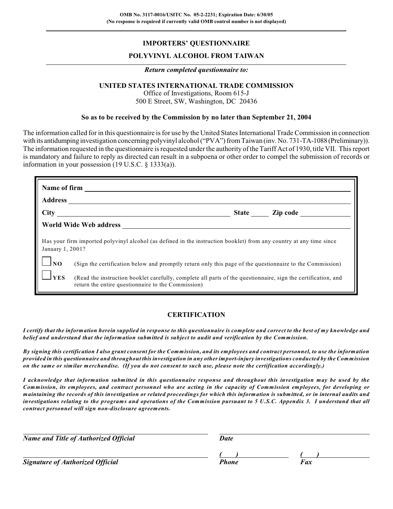## **IMPORTERS' QUESTIONNAIRE**

### **POLYVINYL ALCOHOL FROM TAIWAN**

#### *Return completed questionnaire to:*

### **UNITED STATES INTERNATIONAL TRADE COMMISSION**

Office of Investigations, Room 615-J 500 E Street, SW, Washington, DC 20436

#### **So as to be received by the Commission by no later than September 21, 2004**

The information called for in this questionnaire is for use by the United States International Trade Commission in connection with its antidumping investigation concerning polyvinyl alcohol ("PVA") from Taiwan (inv. No. 731-TA-1088 (Preliminary)). The information requested in the questionnaire is requested under the authority of the Tariff Act of 1930, title VII. This report is mandatory and failure to reply as directed can result in a subpoena or other order to compel the submission of records or information in your possession (19 U.S.C. § 1333(a)).

| <b>Address</b>                                                                                                                          | Name of firm                                                                                                                                                        |  |  |  |  |
|-----------------------------------------------------------------------------------------------------------------------------------------|---------------------------------------------------------------------------------------------------------------------------------------------------------------------|--|--|--|--|
|                                                                                                                                         | State Zip code                                                                                                                                                      |  |  |  |  |
|                                                                                                                                         | World Wide Web address <b>with the United States</b>                                                                                                                |  |  |  |  |
| Has your firm imported polyvinyl alcohol (as defined in the instruction booklet) from any country at any time since<br>January 1, 2001? |                                                                                                                                                                     |  |  |  |  |
| $\Box$ NO                                                                                                                               | (Sign the certification below and promptly return only this page of the questionnaire to the Commission)                                                            |  |  |  |  |
| J <sub>YES</sub>                                                                                                                        | (Read the instruction booklet carefully, complete all parts of the questionnaire, sign the certification, and<br>return the entire questionnaire to the Commission) |  |  |  |  |

## **CERTIFICATION**

*I certify that the information herein supplied in response to this questionnaire is complete and correct to the best of my knowledge and belief and understand that the information submitted is subject to audit and verification by the Commission.*

*By signing this certification I also grant consent for the Commission, and its employees and contract personnel, to use the information provided in this questionnaire and throughout this investigation in any other import-injury investigations conducted by the Commission on the same or similar merchandise. (If you do not consent to such use, please note the certification accordingly.)*

*I acknowledge that information submitted in this questionnaire response and throughout this investigation may be used by the Commission, its employees, and contract personnel who are acting in the capacity of Commission employees, for developing or maintaining the records of this investigation or related proceedings for which this information is submitted, or in internal audits and investigations relating to the programs and operations of the Commission pursuant to 5 U.S.C. Appendix 3. I understand that all contract personnel will sign non-disclosure agreements.*

| <b>Name and Title of Authorized Official</b> | Date  |     |
|----------------------------------------------|-------|-----|
| <b>Signature of Authorized Official</b>      | Phone | Fax |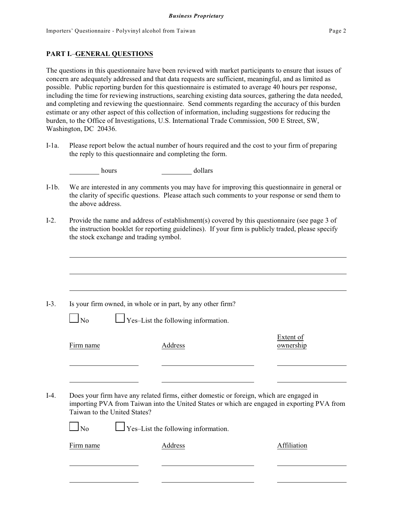### **PART I.**–**GENERAL QUESTIONS**

The questions in this questionnaire have been reviewed with market participants to ensure that issues of concern are adequately addressed and that data requests are sufficient, meaningful, and as limited as possible. Public reporting burden for this questionnaire is estimated to average 40 hours per response, including the time for reviewing instructions, searching existing data sources, gathering the data needed, and completing and reviewing the questionnaire. Send comments regarding the accuracy of this burden estimate or any other aspect of this collection of information, including suggestions for reducing the burden, to the Office of Investigations, U.S. International Trade Commission, 500 E Street, SW, Washington, DC 20436.

I-1a. Please report below the actual number of hours required and the cost to your firm of preparing the reply to this questionnaire and completing the form.

hours and dollars dollars

- I-1b. We are interested in any comments you may have for improving this questionnaire in general or the clarity of specific questions. Please attach such comments to your response or send them to the above address.
- I-2. Provide the name and address of establishment(s) covered by this questionnaire (see page 3 of the instruction booklet for reporting guidelines). If your firm is publicly traded, please specify the stock exchange and trading symbol.

I-3. Is your firm owned, in whole or in part, by any other firm?

| ۰, |  |
|----|--|
|----|--|

 $\Box$  Yes–List the following information.

Firm name Address and Address ownership

Extent of

I-4. Does your firm have any related firms, either domestic or foreign, which are engaged in importing PVA from Taiwan into the United States or which are engaged in exporting PVA from Taiwan to the United States?

 $\Box$  No  $\Box$  Yes–List the following information.

Firm name Address Affiliation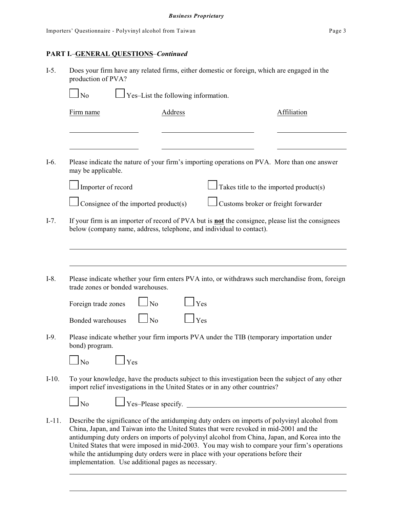# **PART I.**–**GENERAL QUESTIONS**–*Continued*

| $I-5$ .  | Does your firm have any related firms, either domestic or foreign, which are engaged in the<br>production of PVA?<br>$\Box$ Yes-List the following information.<br>N <sub>o</sub> |                                      |                                                                                                                                                                                                                                                                                                                                                                                                                                                                             |                                        |  |
|----------|-----------------------------------------------------------------------------------------------------------------------------------------------------------------------------------|--------------------------------------|-----------------------------------------------------------------------------------------------------------------------------------------------------------------------------------------------------------------------------------------------------------------------------------------------------------------------------------------------------------------------------------------------------------------------------------------------------------------------------|----------------------------------------|--|
|          |                                                                                                                                                                                   |                                      |                                                                                                                                                                                                                                                                                                                                                                                                                                                                             |                                        |  |
|          | Firm name                                                                                                                                                                         | Address                              |                                                                                                                                                                                                                                                                                                                                                                                                                                                                             | Affiliation                            |  |
|          |                                                                                                                                                                                   |                                      |                                                                                                                                                                                                                                                                                                                                                                                                                                                                             |                                        |  |
| $I-6.$   | may be applicable.                                                                                                                                                                |                                      | Please indicate the nature of your firm's importing operations on PVA. More than one answer                                                                                                                                                                                                                                                                                                                                                                                 |                                        |  |
|          | Importer of record                                                                                                                                                                |                                      |                                                                                                                                                                                                                                                                                                                                                                                                                                                                             | Takes title to the imported product(s) |  |
|          |                                                                                                                                                                                   | Consignee of the imported product(s) | Customs broker or freight forwarder                                                                                                                                                                                                                                                                                                                                                                                                                                         |                                        |  |
| $I-7.$   |                                                                                                                                                                                   |                                      | If your firm is an importer of record of PVA but is <b>not</b> the consignee, please list the consignees<br>below (company name, address, telephone, and individual to contact).                                                                                                                                                                                                                                                                                            |                                        |  |
|          |                                                                                                                                                                                   |                                      |                                                                                                                                                                                                                                                                                                                                                                                                                                                                             |                                        |  |
| $I-8.$   | trade zones or bonded warehouses.                                                                                                                                                 |                                      | Please indicate whether your firm enters PVA into, or withdraws such merchandise from, foreign                                                                                                                                                                                                                                                                                                                                                                              |                                        |  |
|          | Foreign trade zones                                                                                                                                                               | $\overline{N}$                       | Yes                                                                                                                                                                                                                                                                                                                                                                                                                                                                         |                                        |  |
|          | <b>Bonded warehouses</b>                                                                                                                                                          | $\overline{N}$                       | Yes                                                                                                                                                                                                                                                                                                                                                                                                                                                                         |                                        |  |
| $I-9.$   | bond) program.                                                                                                                                                                    |                                      | Please indicate whether your firm imports PVA under the TIB (temporary importation under                                                                                                                                                                                                                                                                                                                                                                                    |                                        |  |
|          | N <sub>o</sub>                                                                                                                                                                    | Yes                                  |                                                                                                                                                                                                                                                                                                                                                                                                                                                                             |                                        |  |
| $I-10.$  | To your knowledge, have the products subject to this investigation been the subject of any other<br>import relief investigations in the United States or in any other countries?  |                                      |                                                                                                                                                                                                                                                                                                                                                                                                                                                                             |                                        |  |
|          | $\Box$ No                                                                                                                                                                         |                                      | $\Box$ Yes-Please specify.                                                                                                                                                                                                                                                                                                                                                                                                                                                  |                                        |  |
| $I.-11.$ |                                                                                                                                                                                   |                                      | Describe the significance of the antidumping duty orders on imports of polyvinyl alcohol from<br>China, Japan, and Taiwan into the United States that were revoked in mid-2001 and the<br>antidumping duty orders on imports of polyvinyl alcohol from China, Japan, and Korea into the<br>United States that were imposed in mid-2003. You may wish to compare your firm's operations<br>while the antidumping duty orders were in place with your operations before their |                                        |  |

implementation. Use additional pages as necessary.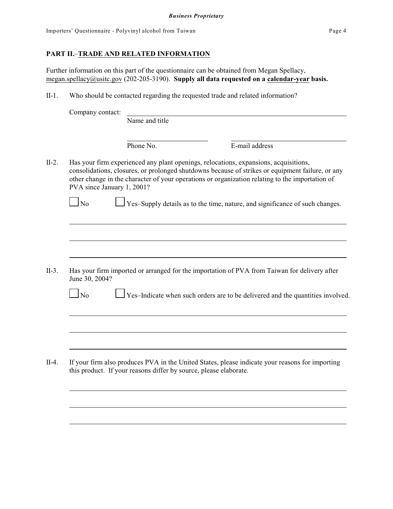### **PART II.**–**TRADE AND RELATED INFORMATION**

Further information on this part of the questionnaire can be obtained from Megan Spellacy, [megan.spellacy@usitc.gov](mailto:megan.spellacy@usitc.gov) (202-205-3190). **Supply all data requested on a calendar-year basis.**

II-1. Who should be contacted regarding the requested trade and related information?

| Company contact: | Name and title         |                                                                   |                                                                                                                                                                                                                                                                                                                                                                                                                                                                                                                                                                                                                                                                  |
|------------------|------------------------|-------------------------------------------------------------------|------------------------------------------------------------------------------------------------------------------------------------------------------------------------------------------------------------------------------------------------------------------------------------------------------------------------------------------------------------------------------------------------------------------------------------------------------------------------------------------------------------------------------------------------------------------------------------------------------------------------------------------------------------------|
|                  |                        |                                                                   |                                                                                                                                                                                                                                                                                                                                                                                                                                                                                                                                                                                                                                                                  |
|                  | Phone No.              | E-mail address                                                    |                                                                                                                                                                                                                                                                                                                                                                                                                                                                                                                                                                                                                                                                  |
|                  |                        |                                                                   |                                                                                                                                                                                                                                                                                                                                                                                                                                                                                                                                                                                                                                                                  |
|                  |                        |                                                                   |                                                                                                                                                                                                                                                                                                                                                                                                                                                                                                                                                                                                                                                                  |
|                  |                        |                                                                   |                                                                                                                                                                                                                                                                                                                                                                                                                                                                                                                                                                                                                                                                  |
|                  |                        |                                                                   |                                                                                                                                                                                                                                                                                                                                                                                                                                                                                                                                                                                                                                                                  |
|                  |                        |                                                                   |                                                                                                                                                                                                                                                                                                                                                                                                                                                                                                                                                                                                                                                                  |
|                  |                        |                                                                   |                                                                                                                                                                                                                                                                                                                                                                                                                                                                                                                                                                                                                                                                  |
|                  |                        |                                                                   |                                                                                                                                                                                                                                                                                                                                                                                                                                                                                                                                                                                                                                                                  |
|                  |                        |                                                                   |                                                                                                                                                                                                                                                                                                                                                                                                                                                                                                                                                                                                                                                                  |
|                  |                        | this product. If your reasons differ by source, please elaborate. |                                                                                                                                                                                                                                                                                                                                                                                                                                                                                                                                                                                                                                                                  |
|                  | $\Box$ No<br>$\Box$ No | PVA since January 1, 2001?<br>June 30, 2004?                      | Has your firm experienced any plant openings, relocations, expansions, acquisitions,<br>consolidations, closures, or prolonged shutdowns because of strikes or equipment failure, or any<br>other change in the character of your operations or organization relating to the importation of<br>Yes-Supply details as to the time, nature, and significance of such changes.<br>Has your firm imported or arranged for the importation of PVA from Taiwan for delivery after<br>Yes-Indicate when such orders are to be delivered and the quantities involved.<br>If your firm also produces PVA in the United States, please indicate your reasons for importing |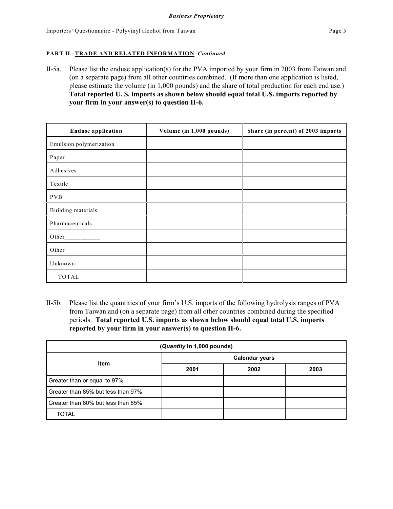### **PART II.**–**TRADE AND RELATED INFORMATION**–*Continued*

II-5a. Please list the enduse application(s) for the PVA imported by your firm in 2003 from Taiwan and (on a separate page) from all other countries combined. (If more than one application is listed, please estimate the volume (in 1,000 pounds) and the share of total production for each end use.) **Total reported U. S. imports as shown below should equal total U.S. imports reported by your firm in your answer(s) to question II-6.**

| <b>Enduse application</b> | Volume (in 1,000 pounds) | Share (in percent) of 2003 imports |
|---------------------------|--------------------------|------------------------------------|
| Emulsion polymerization   |                          |                                    |
| Paper                     |                          |                                    |
| Adhesives                 |                          |                                    |
| Textile                   |                          |                                    |
| <b>PVB</b>                |                          |                                    |
| Building materials        |                          |                                    |
| Pharmaceuticals           |                          |                                    |
|                           |                          |                                    |
| Other                     |                          |                                    |
| Unknown                   |                          |                                    |
| TOTAL                     |                          |                                    |

II-5b. Please list the quantities of your firm's U.S. imports of the following hydrolysis ranges of PVA from Taiwan and (on a separate page) from all other countries combined during the specified periods. **Total reported U.S. imports as shown below should equal total U.S. imports reported by your firm in your answer(s) to question II-6.**

| (Quantity in 1,000 pounds)         |                       |      |      |  |  |
|------------------------------------|-----------------------|------|------|--|--|
| Item                               | <b>Calendar years</b> |      |      |  |  |
|                                    | 2001                  | 2002 | 2003 |  |  |
| Greater than or equal to 97%       |                       |      |      |  |  |
| Greater than 85% but less than 97% |                       |      |      |  |  |
| Greater than 80% but less than 85% |                       |      |      |  |  |
| <b>TOTAL</b>                       |                       |      |      |  |  |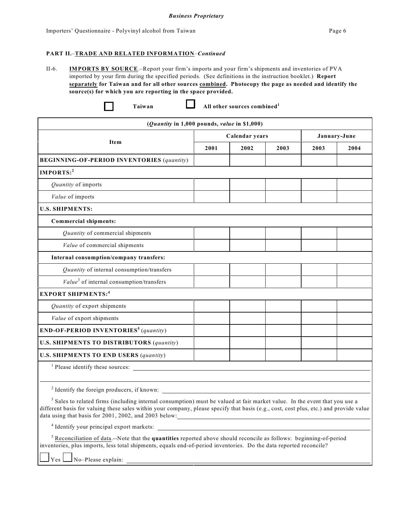#### **PART II.**–**TRADE AND RELATED INFORMATION**–*Continued*

II-6. **IMPORTS BY SOURCE**.–Report your firm's imports and your firm's shipments and inventories of PVA imported by your firm during the specified periods. (See definitions in the instruction booklet.) **Report separately for Taiwan and for all other sources combined. Photocopy the page as needed and identify the source(s) for which you are reporting in the space provided.**

|  | œ | 2<br>- 1 |
|--|---|----------|
|  |   |          |

**Taiwan All other sources combined<sup>1</sup>**

| ( <i>Quantity</i> in $1,000$ pounds, <i>value</i> in \$1,000)                                                                                                                                                                                                                                                                            |      |                |      |      |              |
|------------------------------------------------------------------------------------------------------------------------------------------------------------------------------------------------------------------------------------------------------------------------------------------------------------------------------------------|------|----------------|------|------|--------------|
| Item                                                                                                                                                                                                                                                                                                                                     |      | Calendar years |      |      | January-June |
|                                                                                                                                                                                                                                                                                                                                          | 2001 | 2002           | 2003 | 2003 | 2004         |
| <b>BEGINNING-OF-PERIOD INVENTORIES (quantity)</b>                                                                                                                                                                                                                                                                                        |      |                |      |      |              |
| IMPORTS:2                                                                                                                                                                                                                                                                                                                                |      |                |      |      |              |
| Quantity of imports                                                                                                                                                                                                                                                                                                                      |      |                |      |      |              |
| Value of imports                                                                                                                                                                                                                                                                                                                         |      |                |      |      |              |
| <b>U.S. SHIPMENTS:</b>                                                                                                                                                                                                                                                                                                                   |      |                |      |      |              |
| Commercial shipments:                                                                                                                                                                                                                                                                                                                    |      |                |      |      |              |
| Quantity of commercial shipments                                                                                                                                                                                                                                                                                                         |      |                |      |      |              |
| Value of commercial shipments                                                                                                                                                                                                                                                                                                            |      |                |      |      |              |
| Internal consumption/company transfers:                                                                                                                                                                                                                                                                                                  |      |                |      |      |              |
| Quantity of internal consumption/transfers                                                                                                                                                                                                                                                                                               |      |                |      |      |              |
| $Value3$ of internal consumption/transfers                                                                                                                                                                                                                                                                                               |      |                |      |      |              |
| <b>EXPORT SHIPMENTS:4</b>                                                                                                                                                                                                                                                                                                                |      |                |      |      |              |
| Quantity of export shipments                                                                                                                                                                                                                                                                                                             |      |                |      |      |              |
| Value of export shipments                                                                                                                                                                                                                                                                                                                |      |                |      |      |              |
| $END-OF-PERIOD$ INVENTORIES <sup>5</sup> (quantity)                                                                                                                                                                                                                                                                                      |      |                |      |      |              |
| <b>U.S. SHIPMENTS TO DISTRIBUTORS (quantity)</b>                                                                                                                                                                                                                                                                                         |      |                |      |      |              |
| <b>U.S. SHIPMENTS TO END USERS (quantity)</b>                                                                                                                                                                                                                                                                                            |      |                |      |      |              |
| $1$ Please identify these sources:                                                                                                                                                                                                                                                                                                       |      |                |      |      |              |
|                                                                                                                                                                                                                                                                                                                                          |      |                |      |      |              |
| $\frac{2}{3}$ Identify the foreign producers, if known:                                                                                                                                                                                                                                                                                  |      |                |      |      |              |
| <sup>3</sup> Sales to related firms (including internal consumption) must be valued at fair market value. In the event that you use a<br>different basis for valuing these sales within your company, please specify that basis (e.g., cost, cost plus, etc.) and provide value<br>data using that basis for 2001, 2002, and 2003 below: |      |                |      |      |              |
|                                                                                                                                                                                                                                                                                                                                          |      |                |      |      |              |
| <sup>5</sup> Reconciliation of data.--Note that the <b>quantities</b> reported above should reconcile as follows: beginning-of-period                                                                                                                                                                                                    |      |                |      |      |              |

inventories, plus imports, less total shipments, equals end-of-period inventories. Do the data reported reconcile?

Yes No–Please explain: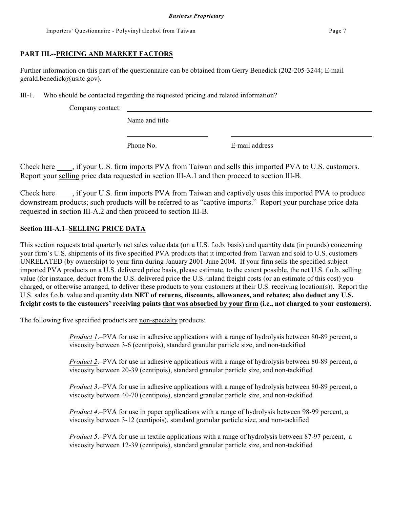## **PART III.--PRICING AND MARKET FACTORS**

Further information on this part of the questionnaire can be obtained from Gerry Benedick (202-205-3244; E-mail gerald.benedick@usitc.gov).

III-1. Who should be contacted regarding the requested pricing and related information?

Company contact:

Name and title

Phone No. **E**-mail address

Check here  $\therefore$ , if your U.S. firm imports PVA from Taiwan and sells this imported PVA to U.S. customers. Report your selling price data requested in section III-A.1 and then proceed to section III-B.

Check here \_\_\_\_, if your U.S. firm imports PVA from Taiwan and captively uses this imported PVA to produce downstream products; such products will be referred to as "captive imports." Report your purchase price data requested in section III-A.2 and then proceed to section III-B.

### **Section III-A.1–SELLING PRICE DATA**

This section requests total quarterly net sales value data (on a U.S. f.o.b. basis) and quantity data (in pounds) concerning your firm's U.S. shipments of its five specified PVA products that it imported from Taiwan and sold to U.S. customers UNRELATED (by ownership) to your firm during January 2001-June 2004. If your firm sells the specified subject imported PVA products on a U.S. delivered price basis, please estimate, to the extent possible, the net U.S. f.o.b. selling value (for instance, deduct from the U.S. delivered price the U.S.-inland freight costs (or an estimate of this cost) you charged, or otherwise arranged, to deliver these products to your customers at their U.S. receiving location(s)). Report the U.S. sales f.o.b. value and quantity data **NET of returns, discounts, allowances, and rebates; also deduct any U.S. freight costs to the customers' receiving points that was absorbed by your firm (i.e., not charged to your customers).**

The following five specified products are non-specialty products:

*Product 1*.–PVA for use in adhesive applications with a range of hydrolysis between 80-89 percent, a viscosity between 3-6 (centipois), standard granular particle size, and non-tackified

*Product 2*.–PVA for use in adhesive applications with a range of hydrolysis between 80-89 percent, a viscosity between 20-39 (centipois), standard granular particle size, and non-tackified

*Product 3*.–PVA for use in adhesive applications with a range of hydrolysis between 80-89 percent, a viscosity between 40-70 (centipois), standard granular particle size, and non-tackified

*Product 4*.–PVA for use in paper applications with a range of hydrolysis between 98-99 percent, a viscosity between 3-12 (centipois), standard granular particle size, and non-tackified

*Product 5*.–PVA for use in textile applications with a range of hydrolysis between 87-97 percent, a viscosity between 12-39 (centipois), standard granular particle size, and non-tackified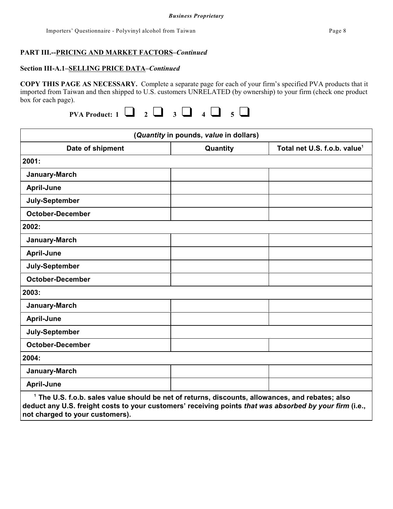#### **Section III-A.1–SELLING PRICE DATA***–Continued*

**COPY THIS PAGE AS NECESSARY.** Complete a separate page for each of your firm's specified PVA products that it imported from Taiwan and then shipped to U.S. customers UNRELATED (by ownership) to your firm (check one product box for each page).

|--|

| (Quantity in pounds, value in dollars)                                                                      |          |                                          |  |  |  |
|-------------------------------------------------------------------------------------------------------------|----------|------------------------------------------|--|--|--|
| Date of shipment                                                                                            | Quantity | Total net U.S. f.o.b. value <sup>1</sup> |  |  |  |
| 2001:                                                                                                       |          |                                          |  |  |  |
| January-March                                                                                               |          |                                          |  |  |  |
| <b>April-June</b>                                                                                           |          |                                          |  |  |  |
| July-September                                                                                              |          |                                          |  |  |  |
| <b>October-December</b>                                                                                     |          |                                          |  |  |  |
| 2002:                                                                                                       |          |                                          |  |  |  |
| January-March                                                                                               |          |                                          |  |  |  |
| <b>April-June</b>                                                                                           |          |                                          |  |  |  |
| July-September                                                                                              |          |                                          |  |  |  |
| <b>October-December</b>                                                                                     |          |                                          |  |  |  |
| 2003:                                                                                                       |          |                                          |  |  |  |
| January-March                                                                                               |          |                                          |  |  |  |
| <b>April-June</b>                                                                                           |          |                                          |  |  |  |
| July-September                                                                                              |          |                                          |  |  |  |
| <b>October-December</b>                                                                                     |          |                                          |  |  |  |
| 2004:                                                                                                       |          |                                          |  |  |  |
| January-March                                                                                               |          |                                          |  |  |  |
| <b>April-June</b>                                                                                           |          |                                          |  |  |  |
| <sup>1</sup> The U.S. f.o.b. sales value should be net of returns, discounts, allowances, and rebates; also |          |                                          |  |  |  |

**deduct any U.S. freight costs to your customers' receiving points** *that was absorbed by your firm* **(i.e., not charged to your customers).**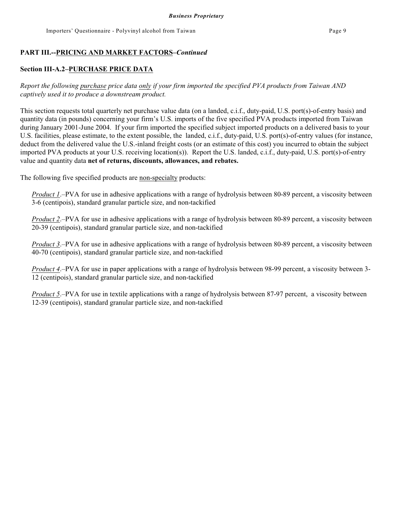#### **Section III-A.2–PURCHASE PRICE DATA**

*Report the following purchase price data only if your firm imported the specified PVA products from Taiwan AND captively used it to produce a downstream product.*

This section requests total quarterly net purchase value data (on a landed, c.i.f., duty-paid, U.S. port(s)-of-entry basis) and quantity data (in pounds) concerning your firm's U.S. imports of the five specified PVA products imported from Taiwan during January 2001-June 2004. If your firm imported the specified subject imported products on a delivered basis to your U.S. facilities, please estimate, to the extent possible, the landed, c.i.f., duty-paid, U.S. port(s)-of-entry values (for instance, deduct from the delivered value the U.S.-inland freight costs (or an estimate of this cost) you incurred to obtain the subject imported PVA products at your U.S. receiving location(s)). Report the U.S. landed, c.i.f., duty-paid, U.S. port(s)-of-entry value and quantity data **net of returns, discounts, allowances, and rebates.**

The following five specified products are non-specialty products:

*Product 1*.–PVA for use in adhesive applications with a range of hydrolysis between 80-89 percent, a viscosity between 3-6 (centipois), standard granular particle size, and non-tackified

*Product 2*.–PVA for use in adhesive applications with a range of hydrolysis between 80-89 percent, a viscosity between 20-39 (centipois), standard granular particle size, and non-tackified

*Product 3*.–PVA for use in adhesive applications with a range of hydrolysis between 80-89 percent, a viscosity between 40-70 (centipois), standard granular particle size, and non-tackified

*Product 4*.–PVA for use in paper applications with a range of hydrolysis between 98-99 percent, a viscosity between 3- 12 (centipois), standard granular particle size, and non-tackified

*Product 5*.–PVA for use in textile applications with a range of hydrolysis between 87-97 percent, a viscosity between 12-39 (centipois), standard granular particle size, and non-tackified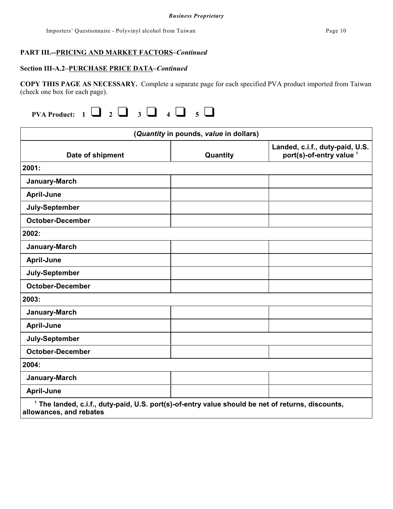## **Section III-A.2–PURCHASE PRICE DATA***–Continued*

**COPY THIS PAGE AS NECESSARY.** Complete a separate page for each specified PVA product imported from Taiwan (check one box for each page).

|                                                                                                                                         | (Quantity in pounds, value in dollars) |                                                                        |
|-----------------------------------------------------------------------------------------------------------------------------------------|----------------------------------------|------------------------------------------------------------------------|
| Date of shipment                                                                                                                        | Quantity                               | Landed, c.i.f., duty-paid, U.S.<br>port(s)-of-entry value <sup>1</sup> |
| 2001:                                                                                                                                   |                                        |                                                                        |
| January-March                                                                                                                           |                                        |                                                                        |
| <b>April-June</b>                                                                                                                       |                                        |                                                                        |
| July-September                                                                                                                          |                                        |                                                                        |
| <b>October-December</b>                                                                                                                 |                                        |                                                                        |
| 2002:                                                                                                                                   |                                        |                                                                        |
| January-March                                                                                                                           |                                        |                                                                        |
| <b>April-June</b>                                                                                                                       |                                        |                                                                        |
| July-September                                                                                                                          |                                        |                                                                        |
| <b>October-December</b>                                                                                                                 |                                        |                                                                        |
| 2003:                                                                                                                                   |                                        |                                                                        |
| January-March                                                                                                                           |                                        |                                                                        |
| <b>April-June</b>                                                                                                                       |                                        |                                                                        |
| July-September                                                                                                                          |                                        |                                                                        |
| <b>October-December</b>                                                                                                                 |                                        |                                                                        |
| 2004:                                                                                                                                   |                                        |                                                                        |
| January-March                                                                                                                           |                                        |                                                                        |
| <b>April-June</b>                                                                                                                       |                                        |                                                                        |
| <sup>1</sup> The landed, c.i.f., duty-paid, U.S. port(s)-of-entry value should be net of returns, discounts,<br>allowances, and rebates |                                        |                                                                        |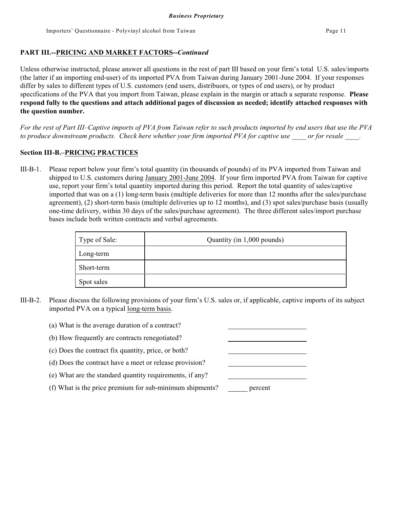Unless otherwise instructed, please answer all questions in the rest of part III based on your firm's total U.S. sales/imports (the latter if an importing end-user) of its imported PVA from Taiwan during January 2001-June 2004. If your responses differ by sales to different types of U.S. customers (end users, distribuors, or types of end users), or by product specifications of the PVA that you import from Taiwan, please explain in the margin or attach a separate response. **Please respond fully to the questions and attach additional pages of discussion as needed; identify attached responses with the question number.**

*For the rest of Part III–Captive imports of PVA from Taiwan refer to such products imported by end users that use the PVA to produce downstream products. Check here whether your firm imported PVA for captive use \_\_\_\_ or for resale \_\_\_\_.*

### **Section III-B.–PRICING PRACTICES**

III-B-1. Please report below your firm's total quantity (in thousands of pounds) of its PVA imported from Taiwan and shipped to U.S. customers during January 2001-June 2004. If your firm imported PVA from Taiwan for captive use, report your firm's total quantity imported during this period. Report the total quantity of sales/captive imported that was on a (1) long-term basis (multiple deliveries for more than 12 months after the sales/purchase agreement), (2) short-term basis (multiple deliveries up to 12 months), and (3) spot sales/purchase basis (usually one-time delivery, within 30 days of the sales/purchase agreement). The three different sales/import purchase bases include both written contracts and verbal agreements.

| Type of Sale: | Quantity (in 1,000 pounds) |  |  |
|---------------|----------------------------|--|--|
| Long-term     |                            |  |  |
| Short-term    |                            |  |  |
| Spot sales    |                            |  |  |

- III-B-2. Please discuss the following provisions of your firm's U.S. sales or, if applicable, captive imports of its subject imported PVA on a typical long-term basis.
	- (a) What is the average duration of a contract?
	- (b) How frequently are contracts renegotiated?
	- (c) Does the contract fix quantity, price, or both?
	- (d) Does the contract have a meet or release provision?
	- (e) What are the standard quantity requirements, if any?
	- (f) What is the price premium for sub-minimum shipments? percent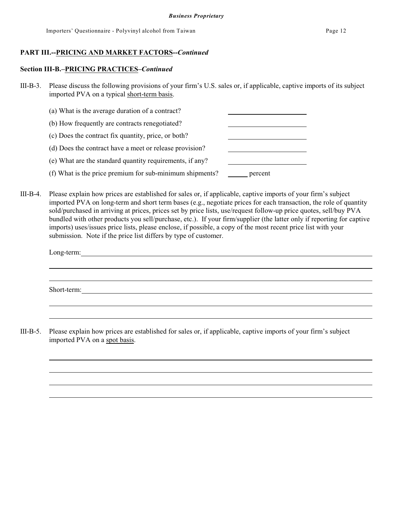#### **Section III-B.–PRICING PRACTICES–***Continued*

- III-B-3. Please discuss the following provisions of your firm's U.S. sales or, if applicable, captive imports of its subject imported PVA on a typical short-term basis.
	- (a) What is the average duration of a contract? (b) How frequently are contracts renegotiated? (c) Does the contract fix quantity, price, or both? (d) Does the contract have a meet or release provision? (e) What are the standard quantity requirements, if any? (f) What is the price premium for sub-minimum shipments? percent
- III-B-4. Please explain how prices are established for sales or, if applicable, captive imports of your firm's subject imported PVA on long-term and short term bases (e.g., negotiate prices for each transaction, the role of quantity sold/purchased in arriving at prices, prices set by price lists, use/request follow-up price quotes, sell/buy PVA bundled with other products you sell/purchase, etc.). If your firm/supplier (the latter only if reporting for captive imports) uses/issues price lists, please enclose, if possible, a copy of the most recent price list with your submission. Note if the price list differs by type of customer.

| Long-term:  |  |  |  |
|-------------|--|--|--|
|             |  |  |  |
|             |  |  |  |
| Short-term: |  |  |  |
|             |  |  |  |

III-B-5. Please explain how prices are established for sales or, if applicable, captive imports of your firm's subject imported PVA on a spot basis.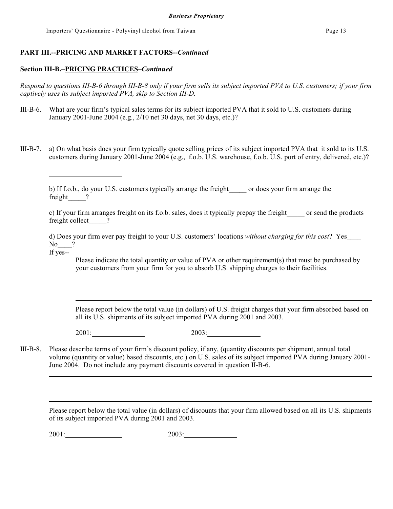Importers' Questionnaire - Polyvinyl alcohol from Taiwan Page 13

### **PART III.--PRICING AND MARKET FACTORS--***Continued*

#### **Section III-B.–PRICING PRACTICES–***Continued*

*Respond to questions III-B-6 through III-B-8 only if your firm sells its subject imported PVA to U.S. customers; if your firm captively uses its subject imported PVA, skip to Section III-D.*

- III-B-6. What are your firm's typical sales terms for its subject imported PVA that it sold to U.S. customers during January 2001-June 2004 (e.g., 2/10 net 30 days, net 30 days, etc.)?
- III-B-7. a) On what basis does your firm typically quote selling prices of its subject imported PVA that it sold to its U.S. customers during January 2001-June 2004 (e.g., f.o.b. U.S. warehouse, f.o.b. U.S. port of entry, delivered, etc.)?

b) If f.o.b., do your U.S. customers typically arrange the freight\_\_\_\_\_ or does your firm arrange the freight ?

c) If your firm arranges freight on its f.o.b. sales, does it typically prepay the freight\_\_\_\_\_ or send the products freight collect ?

d) Does your firm ever pay freight to your U.S. customers' locations *without charging for this cost*? Yes\_\_\_\_  $\text{No}$  ? If yes--

Please indicate the total quantity or value of PVA or other requirement(s) that must be purchased by your customers from your firm for you to absorb U.S. shipping charges to their facilities.

Please report below the total value (in dollars) of U.S. freight charges that your firm absorbed based on all its U.S. shipments of its subject imported PVA during 2001 and 2003.

2001: 2003:

III-B-8. Please describe terms of your firm's discount policy, if any, (quantity discounts per shipment, annual total volume (quantity or value) based discounts, etc.) on U.S. sales of its subject imported PVA during January 2001- June 2004. Do not include any payment discounts covered in question II-B-6.

Please report below the total value (in dollars) of discounts that your firm allowed based on all its U.S. shipments of its subject imported PVA during 2001 and 2003.

2001: 2003: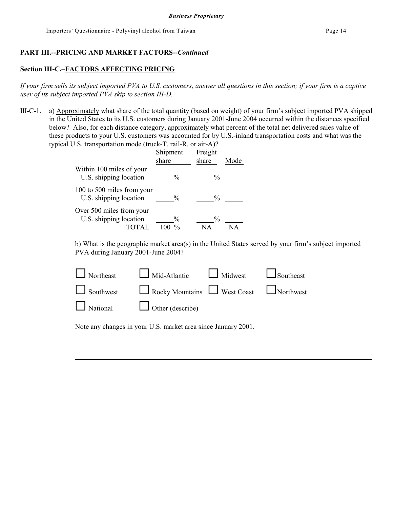# **Section III-C.–FACTORS AFFECTING PRICING**

*If your firm sells its subject imported PVA to U.S. customers, answer all questions in this section; if your firm is a captive user of its subject imported PVA skip to section III-D.*

III-C-1. a) Approximately what share of the total quantity (based on weight) of your firm's subject imported PVA shipped in the United States to its U.S. customers during January 2001-June 2004 occurred within the distances specified below? Also, for each distance category, approximately what percent of the total net delivered sales value of these products to your U.S. customers was accounted for by U.S.-inland transportation costs and what was the typical U.S. transportation mode (truck-T, rail-R, or air-A)?

|                                                                    | Shipment<br>share              | Freight<br>share    | Mode |
|--------------------------------------------------------------------|--------------------------------|---------------------|------|
| Within 100 miles of your<br>U.S. shipping location                 | $\frac{0}{0}$                  | $\%$                |      |
| 100 to 500 miles from your<br>U.S. shipping location               | $\frac{0}{0}$                  | $\frac{0}{0}$       |      |
| Over 500 miles from your<br>U.S. shipping location<br><b>TOTAL</b> | $\frac{0}{0}$<br>$\frac{0}{0}$ | $\frac{0}{0}$<br>NА |      |

b) What is the geographic market area(s) in the United States served by your firm's subject imported PVA during January 2001-June 2004?

| $\Box$ Northeast $\Box$ Mid-Atlantic $\Box$ Midwest $\Box$ Southeast |  |
|----------------------------------------------------------------------|--|
| Southwest Rocky Mountains West Coast Northwest                       |  |
|                                                                      |  |
|                                                                      |  |

Note any changes in your U.S. market area since January 2001.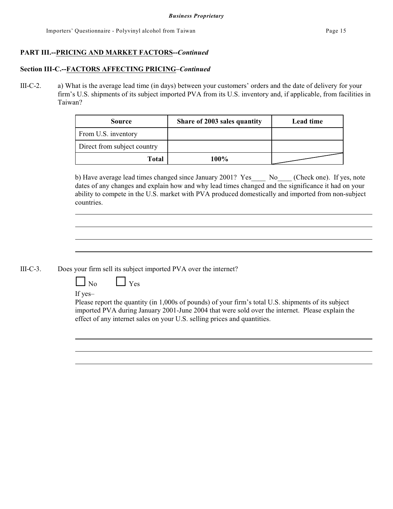#### **Section III-C.--FACTORS AFFECTING PRICING–***Continued*

III-C-2. a) What is the average lead time (in days) between your customers' orders and the date of delivery for your firm's U.S. shipments of its subject imported PVA from its U.S. inventory and, if applicable, from facilities in Taiwan?

| <b>Source</b>               | Share of 2003 sales quantity | Lead time |
|-----------------------------|------------------------------|-----------|
| From U.S. inventory         |                              |           |
| Direct from subject country |                              |           |
| Total                       | 100%                         |           |

b) Have average lead times changed since January 2001? Yes No (Check one). If yes, note dates of any changes and explain how and why lead times changed and the significance it had on your ability to compete in the U.S. market with PVA produced domestically and imported from non-subject countries.

III-C-3. Does your firm sell its subject imported PVA over the internet?

 $\lceil \ \rfloor_{\text{Yes}}$ 

If yes–

Please report the quantity (in 1,000s of pounds) of your firm's total U.S. shipments of its subject imported PVA during January 2001-June 2004 that were sold over the internet. Please explain the effect of any internet sales on your U.S. selling prices and quantities.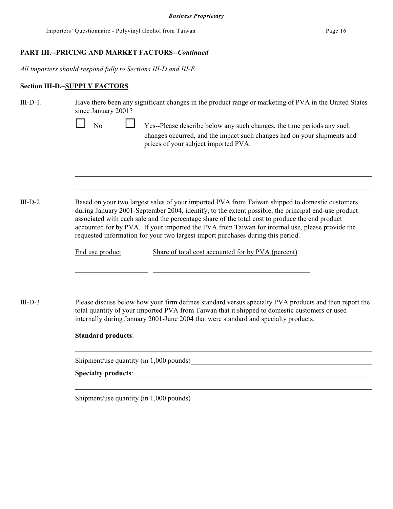*All importers should respond fully to Sections III-D and III-E.*

# **Section III-D.–SUPPLY FACTORS**

| $III-D-1.$ | Have there been any significant changes in the product range or marketing of PVA in the United States<br>since January 2001?                                                                                                                                                                                                                                                                                                                                                                   |  |  |  |  |
|------------|------------------------------------------------------------------------------------------------------------------------------------------------------------------------------------------------------------------------------------------------------------------------------------------------------------------------------------------------------------------------------------------------------------------------------------------------------------------------------------------------|--|--|--|--|
|            | $\overline{N}$<br>Yes--Please describe below any such changes, the time periods any such<br>changes occurred, and the impact such changes had on your shipments and<br>prices of your subject imported PVA.                                                                                                                                                                                                                                                                                    |  |  |  |  |
|            |                                                                                                                                                                                                                                                                                                                                                                                                                                                                                                |  |  |  |  |
| $III-D-2.$ | Based on your two largest sales of your imported PVA from Taiwan shipped to domestic customers<br>during January 2001-September 2004, identify, to the extent possible, the principal end-use product<br>associated with each sale and the percentage share of the total cost to produce the end product<br>accounted for by PVA. If your imported the PVA from Taiwan for internal use, please provide the<br>requested information for your two largest import purchases during this period. |  |  |  |  |
|            | Share of total cost accounted for by PVA (percent)<br>End use product                                                                                                                                                                                                                                                                                                                                                                                                                          |  |  |  |  |
| $III-D-3.$ | Please discuss below how your firm defines standard versus specialty PVA products and then report the<br>total quantity of your imported PVA from Taiwan that it shipped to domestic customers or used<br>internally during January 2001-June 2004 that were standard and specialty products.                                                                                                                                                                                                  |  |  |  |  |
|            | Standard products: <u>Standard products:</u>                                                                                                                                                                                                                                                                                                                                                                                                                                                   |  |  |  |  |
|            | Shipment/use quantity (in 1,000 pounds) Manual Communication and the state of the state of the state of the state of the state of the state of the state of the state of the state of the state of the state of the state of t                                                                                                                                                                                                                                                                 |  |  |  |  |
|            |                                                                                                                                                                                                                                                                                                                                                                                                                                                                                                |  |  |  |  |
|            |                                                                                                                                                                                                                                                                                                                                                                                                                                                                                                |  |  |  |  |

Shipment/use quantity (in 1,000 pounds)<br>
<u>Shipment</u>/use  $\frac{1}{2}$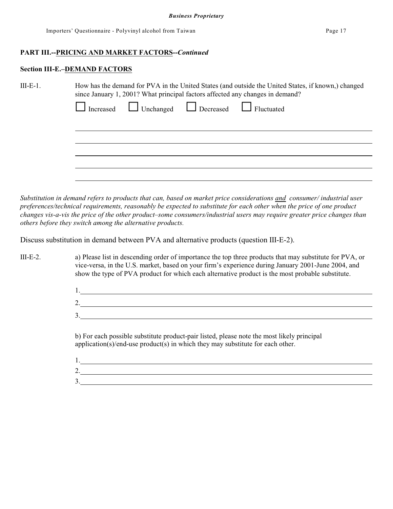#### **Section III-E.–DEMAND FACTORS**

 $\mathcal{L}$ 

| $III-E-1.$ | How has the demand for PVA in the United States (and outside the United States, if known,) changed<br>since January 1, 2001? What principal factors affected any changes in demand? |  |  |  |
|------------|-------------------------------------------------------------------------------------------------------------------------------------------------------------------------------------|--|--|--|
|            | Increased Unchanged Decreased Fluctuated                                                                                                                                            |  |  |  |
|            |                                                                                                                                                                                     |  |  |  |
|            |                                                                                                                                                                                     |  |  |  |
|            |                                                                                                                                                                                     |  |  |  |

*Substitution in demand refers to products that can, based on market price considerations and consumer/ industrial user preferences/technical requirements, reasonably be expected to substitute for each other when the price of one product changes vis-a-vis the price of the other product–some consumers/industrial users may require greater price changes than others before they switch among the alternative products.*

Discuss substitution in demand between PVA and alternative products (question III-E-2).

III-E-2. a) Please list in descending order of importance the top three products that may substitute for PVA, or vice-versa, in the U.S. market, based on your firm's experience during January 2001-June 2004, and show the type of PVA product for which each alternative product is the most probable substitute.

| . . |  |
|-----|--|
|     |  |

b) For each possible substitute product-pair listed, please note the most likely principal application(s)/end-use product(s) in which they may substitute for each other.

| <u>.</u> |  |  |
|----------|--|--|
| ັ        |  |  |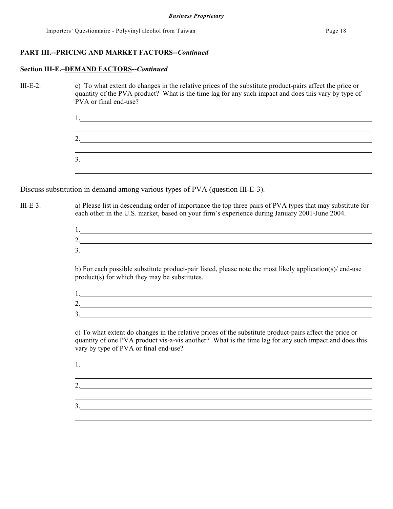#### **Section III-E.–DEMAND FACTORS--***Continued*

III-E-2. c) To what extent do changes in the relative prices of the substitute product-pairs affect the price or quantity of the PVA product? What is the time lag for any such impact and does this vary by type of PVA or final end-use?

> 1. <u> 1989 - Johann Stoff, deutscher Stoffen und der Stoffen und der Stoffen und der Stoffen und der Stoffen und d</u> 2. 3.

Discuss substitution in demand among various types of PVA (question III-E-3).

III-E-3. a) Please list in descending order of importance the top three pairs of PVA types that may substitute for each other in the U.S. market, based on your firm's experience during January 2001-June 2004.

> 1. 2. 3.

b) For each possible substitute product-pair listed, please note the most likely application(s)/ end-use product(s) for which they may be substitutes.

| <u>.</u>                 |  |
|--------------------------|--|
| $\overline{\phantom{a}}$ |  |

c) To what extent do changes in the relative prices of the substitute product-pairs affect the price or quantity of one PVA product vis-a-vis another? What is the time lag for any such impact and does this vary by type of PVA or final end-use?

1. 2. 3.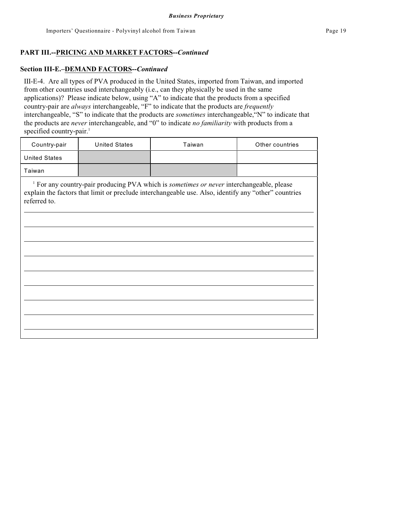#### **Section III-E.–DEMAND FACTORS--***Continued*

III-E-4. Are all types of PVA produced in the United States, imported from Taiwan, and imported from other countries used interchangeably (i.e., can they physically be used in the same applications)? Please indicate below, using "A" to indicate that the products from a specified country-pair are *always* interchangeable, "F" to indicate that the products are *frequently* interchangeable, "S" to indicate that the products are *sometimes* interchangeable,"N" to indicate that the products are *never* interchangeable, and "0" to indicate *no familiarity* with products from a specified country-pair. 1

| Country-pair                                                                                                                                                                                                                | <b>United States</b> | Taiwan | Other countries |  |  |  |  |  |
|-----------------------------------------------------------------------------------------------------------------------------------------------------------------------------------------------------------------------------|----------------------|--------|-----------------|--|--|--|--|--|
| <b>United States</b>                                                                                                                                                                                                        |                      |        |                 |  |  |  |  |  |
| Taiwan                                                                                                                                                                                                                      |                      |        |                 |  |  |  |  |  |
| <sup>1</sup> For any country-pair producing PVA which is sometimes or never interchangeable, please<br>explain the factors that limit or preclude interchangeable use. Also, identify any "other" countries<br>referred to. |                      |        |                 |  |  |  |  |  |
|                                                                                                                                                                                                                             |                      |        |                 |  |  |  |  |  |
|                                                                                                                                                                                                                             |                      |        |                 |  |  |  |  |  |
|                                                                                                                                                                                                                             |                      |        |                 |  |  |  |  |  |
|                                                                                                                                                                                                                             |                      |        |                 |  |  |  |  |  |
|                                                                                                                                                                                                                             |                      |        |                 |  |  |  |  |  |
|                                                                                                                                                                                                                             |                      |        |                 |  |  |  |  |  |
|                                                                                                                                                                                                                             |                      |        |                 |  |  |  |  |  |
|                                                                                                                                                                                                                             |                      |        |                 |  |  |  |  |  |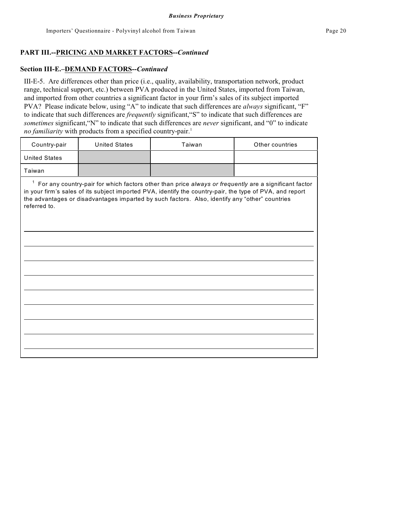#### **Section III-E.–DEMAND FACTORS--***Continued*

III-E-5. Are differences other than price (i.e., quality, availability, transportation network, product range, technical support, etc.) between PVA produced in the United States, imported from Taiwan, and imported from other countries a significant factor in your firm's sales of its subject imported PVA? Please indicate below, using "A" to indicate that such differences are *always* significant, "F" to indicate that such differences are *frequently* significant,"S" to indicate that such differences are *sometimes* significant,"N" to indicate that such differences are *never* significant, and "0" to indicate no familiarity with products from a specified country-pair.<sup>1</sup>

| Country-pair                                                                                                                                                                                                                                                                                                                                        | <b>United States</b> | Taiwan | Other countries |  |  |  |  |  |
|-----------------------------------------------------------------------------------------------------------------------------------------------------------------------------------------------------------------------------------------------------------------------------------------------------------------------------------------------------|----------------------|--------|-----------------|--|--|--|--|--|
| <b>United States</b>                                                                                                                                                                                                                                                                                                                                |                      |        |                 |  |  |  |  |  |
| Taiwan                                                                                                                                                                                                                                                                                                                                              |                      |        |                 |  |  |  |  |  |
| $\mathbf{1}$<br>For any country-pair for which factors other than price always or frequently are a significant factor<br>in your firm's sales of its subject imported PVA, identify the country-pair, the type of PVA, and report<br>the advantages or disadvantages imparted by such factors. Also, identify any "other" countries<br>referred to. |                      |        |                 |  |  |  |  |  |
|                                                                                                                                                                                                                                                                                                                                                     |                      |        |                 |  |  |  |  |  |
|                                                                                                                                                                                                                                                                                                                                                     |                      |        |                 |  |  |  |  |  |
|                                                                                                                                                                                                                                                                                                                                                     |                      |        |                 |  |  |  |  |  |
|                                                                                                                                                                                                                                                                                                                                                     |                      |        |                 |  |  |  |  |  |
|                                                                                                                                                                                                                                                                                                                                                     |                      |        |                 |  |  |  |  |  |